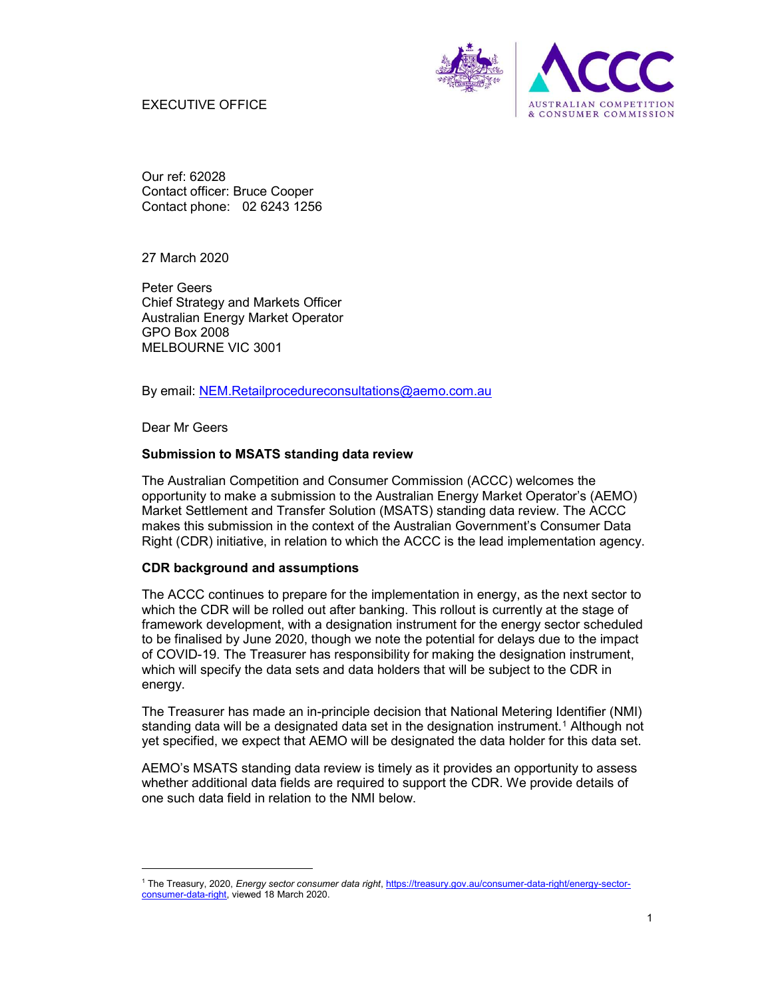## EXECUTIVE OFFICE



Our ref: 62028 Contact officer: Bruce Cooper Contact phone: 02 6243 1256

27 March 2020

Peter Geers Chief Strategy and Markets Officer Australian Energy Market Operator GPO Box 2008 MELBOURNE VIC 3001

By email: NEM.Retailprocedureconsultations@aemo.com.au

Dear Mr Geers

-

## Submission to MSATS standing data review

The Australian Competition and Consumer Commission (ACCC) welcomes the opportunity to make a submission to the Australian Energy Market Operator's (AEMO) Market Settlement and Transfer Solution (MSATS) standing data review. The ACCC makes this submission in the context of the Australian Government's Consumer Data Right (CDR) initiative, in relation to which the ACCC is the lead implementation agency.

## CDR background and assumptions

The ACCC continues to prepare for the implementation in energy, as the next sector to which the CDR will be rolled out after banking. This rollout is currently at the stage of framework development, with a designation instrument for the energy sector scheduled to be finalised by June 2020, though we note the potential for delays due to the impact of COVID-19. The Treasurer has responsibility for making the designation instrument, which will specify the data sets and data holders that will be subject to the CDR in energy.

The Treasurer has made an in-principle decision that National Metering Identifier (NMI) standing data will be a designated data set in the designation instrument.<sup>1</sup> Although not yet specified, we expect that AEMO will be designated the data holder for this data set.

AEMO's MSATS standing data review is timely as it provides an opportunity to assess whether additional data fields are required to support the CDR. We provide details of one such data field in relation to the NMI below.

<sup>1</sup> The Treasury, 2020, *Energy sector consumer data right*, https://treasury.gov.au/consumer-data-right/energy-sectorconsumer-data-right, viewed 18 March 2020.